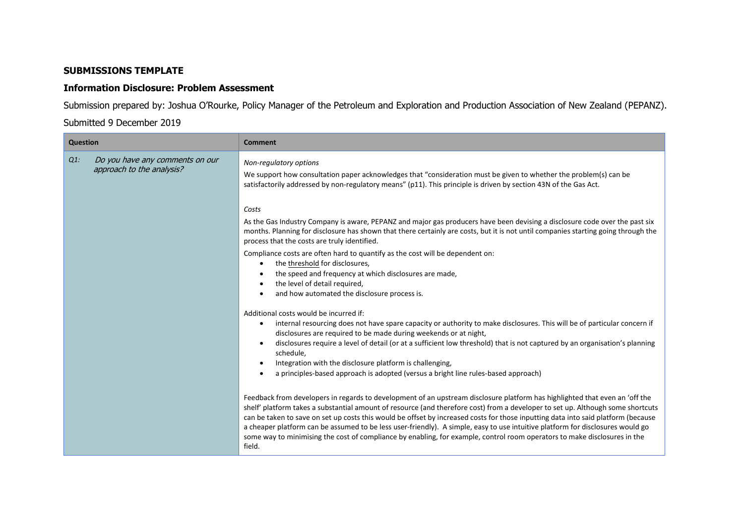## **SUBMISSIONS TEMPLATE**

## **Information Disclosure: Problem Assessment**

Submission prepared by: Joshua O'Rourke, Policy Manager of the Petroleum and Exploration and Production Association of New Zealand (PEPANZ).

## Submitted 9 December 2019

| <b>Question</b>                                                        | <b>Comment</b>                                                                                                                                                                                                                                                                                                                                                                                                                                                                                                                                                                                                                                                                                                                                                                                                                                                                                                                                                                                                                                                                                                                                                                                                                                                                                           |
|------------------------------------------------------------------------|----------------------------------------------------------------------------------------------------------------------------------------------------------------------------------------------------------------------------------------------------------------------------------------------------------------------------------------------------------------------------------------------------------------------------------------------------------------------------------------------------------------------------------------------------------------------------------------------------------------------------------------------------------------------------------------------------------------------------------------------------------------------------------------------------------------------------------------------------------------------------------------------------------------------------------------------------------------------------------------------------------------------------------------------------------------------------------------------------------------------------------------------------------------------------------------------------------------------------------------------------------------------------------------------------------|
| Do you have any comments on our<br>$Q1$ :<br>approach to the analysis? | Non-regulatory options<br>We support how consultation paper acknowledges that "consideration must be given to whether the problem(s) can be<br>satisfactorily addressed by non-regulatory means" (p11). This principle is driven by section 43N of the Gas Act.<br>Costs<br>As the Gas Industry Company is aware, PEPANZ and major gas producers have been devising a disclosure code over the past six<br>months. Planning for disclosure has shown that there certainly are costs, but it is not until companies starting going through the<br>process that the costs are truly identified.<br>Compliance costs are often hard to quantify as the cost will be dependent on:<br>the threshold for disclosures,<br>٠<br>the speed and frequency at which disclosures are made,<br>the level of detail required,                                                                                                                                                                                                                                                                                                                                                                                                                                                                                         |
|                                                                        | and how automated the disclosure process is.<br>Additional costs would be incurred if:<br>internal resourcing does not have spare capacity or authority to make disclosures. This will be of particular concern if<br>٠<br>disclosures are required to be made during weekends or at night,<br>disclosures require a level of detail (or at a sufficient low threshold) that is not captured by an organisation's planning<br>$\bullet$<br>schedule,<br>Integration with the disclosure platform is challenging,<br>٠<br>a principles-based approach is adopted (versus a bright line rules-based approach)<br>$\bullet$<br>Feedback from developers in regards to development of an upstream disclosure platform has highlighted that even an 'off the<br>shelf' platform takes a substantial amount of resource (and therefore cost) from a developer to set up. Although some shortcuts<br>can be taken to save on set up costs this would be offset by increased costs for those inputting data into said platform (because<br>a cheaper platform can be assumed to be less user-friendly). A simple, easy to use intuitive platform for disclosures would go<br>some way to minimising the cost of compliance by enabling, for example, control room operators to make disclosures in the<br>field. |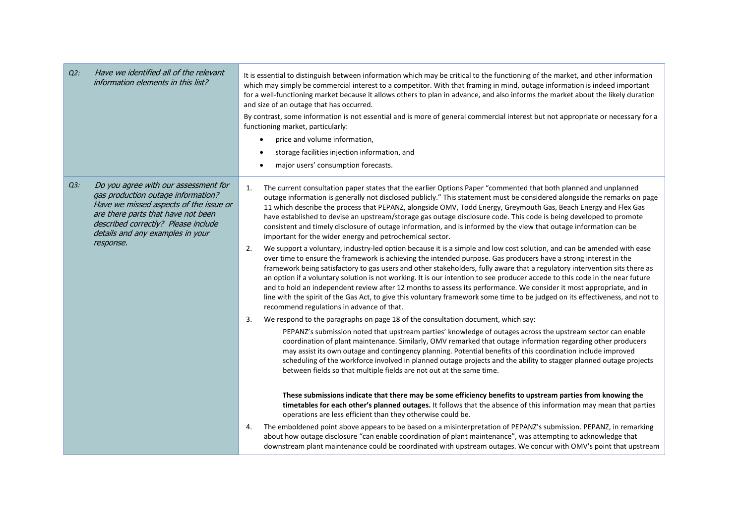| $Q2$ : | Have we identified all of the relevant<br>information elements in this list?                                                                                                                                                                       | It is essential to distinguish between information which may be critical to the functioning of the market, and other information<br>which may simply be commercial interest to a competitor. With that framing in mind, outage information is indeed important<br>for a well-functioning market because it allows others to plan in advance, and also informs the market about the likely duration<br>and size of an outage that has occurred.<br>By contrast, some information is not essential and is more of general commercial interest but not appropriate or necessary for a<br>functioning market, particularly:<br>price and volume information,<br>storage facilities injection information, and<br>major users' consumption forecasts.<br>$\bullet$                                                                                                                                                                                                                                                                                                                                                                                                                                                                                                                                                                                                                                                                                                                                                                                                                                                                                                                                                                                                                                                                                                                                                                                                                                                                                                                                                                                                                                                                                                                                                                                                                                                                                                                                                                                                                                                                                                                                                                                                                                                     |
|--------|----------------------------------------------------------------------------------------------------------------------------------------------------------------------------------------------------------------------------------------------------|-------------------------------------------------------------------------------------------------------------------------------------------------------------------------------------------------------------------------------------------------------------------------------------------------------------------------------------------------------------------------------------------------------------------------------------------------------------------------------------------------------------------------------------------------------------------------------------------------------------------------------------------------------------------------------------------------------------------------------------------------------------------------------------------------------------------------------------------------------------------------------------------------------------------------------------------------------------------------------------------------------------------------------------------------------------------------------------------------------------------------------------------------------------------------------------------------------------------------------------------------------------------------------------------------------------------------------------------------------------------------------------------------------------------------------------------------------------------------------------------------------------------------------------------------------------------------------------------------------------------------------------------------------------------------------------------------------------------------------------------------------------------------------------------------------------------------------------------------------------------------------------------------------------------------------------------------------------------------------------------------------------------------------------------------------------------------------------------------------------------------------------------------------------------------------------------------------------------------------------------------------------------------------------------------------------------------------------------------------------------------------------------------------------------------------------------------------------------------------------------------------------------------------------------------------------------------------------------------------------------------------------------------------------------------------------------------------------------------------------------------------------------------------------------------------------------|
| $Q3$ : | Do you agree with our assessment for<br>gas production outage information?<br>Have we missed aspects of the issue or<br>are there parts that have not been<br>described correctly? Please include<br>details and any examples in your<br>response. | The current consultation paper states that the earlier Options Paper "commented that both planned and unplanned<br>1.<br>outage information is generally not disclosed publicly." This statement must be considered alongside the remarks on page<br>11 which describe the process that PEPANZ, alongside OMV, Todd Energy, Greymouth Gas, Beach Energy and Flex Gas<br>have established to devise an upstream/storage gas outage disclosure code. This code is being developed to promote<br>consistent and timely disclosure of outage information, and is informed by the view that outage information can be<br>important for the wider energy and petrochemical sector.<br>We support a voluntary, industry-led option because it is a simple and low cost solution, and can be amended with ease<br>2.<br>over time to ensure the framework is achieving the intended purpose. Gas producers have a strong interest in the<br>framework being satisfactory to gas users and other stakeholders, fully aware that a regulatory intervention sits there as<br>an option if a voluntary solution is not working. It is our intention to see producer accede to this code in the near future<br>and to hold an independent review after 12 months to assess its performance. We consider it most appropriate, and in<br>line with the spirit of the Gas Act, to give this voluntary framework some time to be judged on its effectiveness, and not to<br>recommend regulations in advance of that.<br>3.<br>We respond to the paragraphs on page 18 of the consultation document, which say:<br>PEPANZ's submission noted that upstream parties' knowledge of outages across the upstream sector can enable<br>coordination of plant maintenance. Similarly, OMV remarked that outage information regarding other producers<br>may assist its own outage and contingency planning. Potential benefits of this coordination include improved<br>scheduling of the workforce involved in planned outage projects and the ability to stagger planned outage projects<br>between fields so that multiple fields are not out at the same time.<br>These submissions indicate that there may be some efficiency benefits to upstream parties from knowing the<br>timetables for each other's planned outages. It follows that the absence of this information may mean that parties<br>operations are less efficient than they otherwise could be.<br>The emboldened point above appears to be based on a misinterpretation of PEPANZ's submission. PEPANZ, in remarking<br>4.<br>about how outage disclosure "can enable coordination of plant maintenance", was attempting to acknowledge that<br>downstream plant maintenance could be coordinated with upstream outages. We concur with OMV's point that upstream |